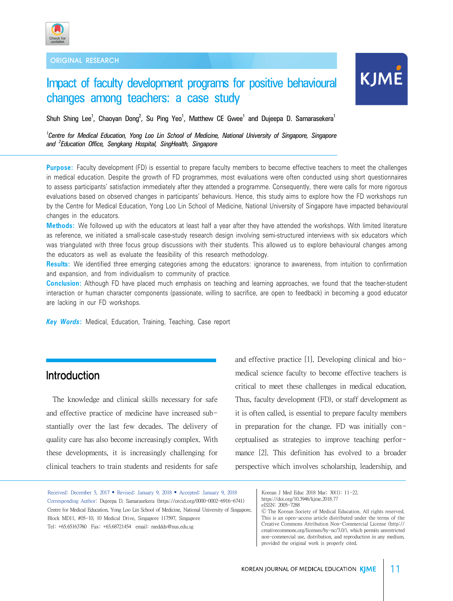

ORIGINAL RESEARCH

# Impact of faculty development programs for positive behavioural changes among teachers: a case study

Shuh Shing Lee<sup>1</sup>, Chaoyan Dong<sup>2</sup>, Su Ping Yeo<sup>1</sup>, Matthew CE Gwee<sup>1</sup> and Dujeepa D. Samarasekera<sup>1</sup>

*1 Centre for Medical Education, Yong Loo Lin School of Medicine, National University of Singapore, Singapore and <sup>2</sup> Education Office, Sengkang Hospital, SingHealth, Singapore*

**Purpose:** Faculty development (FD) is essential to prepare faculty members to become effective teachers to meet the challenges in medical education. Despite the growth of FD programmes, most evaluations were often conducted using short questionnaires to assess participants' satisfaction immediately after they attended a programme. Consequently, there were calls for more rigorous evaluations based on observed changes in participants' behaviours. Hence, this study aims to explore how the FD workshops run by the Centre for Medical Education, Yong Loo Lin School of Medicine, National University of Singapore have impacted behavioural changes in the educators.

**Methods:** We followed up with the educators at least half a year after they have attended the workshops. With limited literature as reference, we initiated a small-scale case-study research design involving semi-structured interviews with six educators which was triangulated with three focus group discussions with their students. This allowed us to explore behavioural changes among the educators as well as evaluate the feasibility of this research methodology.

**Results:** We identified three emerging categories among the educators: ignorance to awareness, from intuition to confirmation and expansion, and from individualism to community of practice.

**Conclusion:** Although FD have placed much emphasis on teaching and learning approaches, we found that the teacher-student interaction or human character components (passionate, willing to sacrifice, are open to feedback) in becoming a good educator are lacking in our FD workshops.

*Key Words***:** Medical, Education, Training, Teaching, Case report

## Introduction

 The knowledge and clinical skills necessary for safe and effective practice of medicine have increased substantially over the last few decades. The delivery of quality care has also become increasingly complex. With these developments, it is increasingly challenging for clinical teachers to train students and residents for safe and effective practice [1]. Developing clinical and biomedical science faculty to become effective teachers is critical to meet these challenges in medical education. Thus, faculty development (FD), or staff development as it is often called, is essential to prepare faculty members in preparation for the change. FD was initially conceptualised as strategies to improve teaching performance [2]. This definition has evolved to a broader perspective which involves scholarship, leadership, and

Received: December 5, 2017 • Revised: January 9, 2018 • Accepted: January 9, 2018 Corresponding Author: Dujeepa D. Samarasekera (https://orcid.org/0000-0002-6916-6741) Centre for Medical Education, Yong Loo Lin School of Medicine, National University of Singapore, Block MD11, #05-10, 10 Medical Drive, Singapore 117597, Singapore Tel: +65.65163760 Fax: +65.68721454 email: meddds@nus.edu.sg

Korean J Med Educ 2018 Mar; 30(1): 11-22. https://doi.org/10.3946/kjme.2018.77 eISSN: 2005-7288

Ⓒ The Korean Society of Medical Education. All rights reserved. This is an open-access article distributed under the terms of the Creative Commons Attribution Non-Commercial License (http:// creativecommons.org/licenses/by-nc/3.0/), which permits unrestricted non-commercial use, distribution, and reproduction in any medium, provided the original work is properly cited.

**KJME**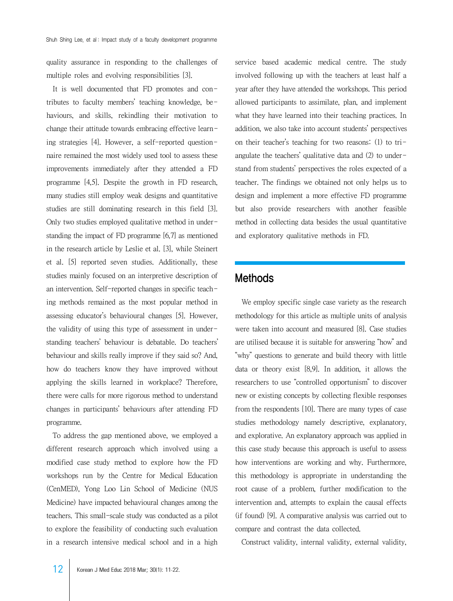quality assurance in responding to the challenges of multiple roles and evolving responsibilities [3].

 It is well documented that FD promotes and contributes to faculty members' teaching knowledge, behaviours, and skills, rekindling their motivation to change their attitude towards embracing effective learning strategies [4]. However, a self-reported questionnaire remained the most widely used tool to assess these improvements immediately after they attended a FD programme [4,5]. Despite the growth in FD research, many studies still employ weak designs and quantitative studies are still dominating research in this field [3]. Only two studies employed qualitative method in understanding the impact of FD programme [6,7] as mentioned in the research article by Leslie et al. [3], while Steinert et al. [5] reported seven studies. Additionally, these studies mainly focused on an interpretive description of an intervention. Self-reported changes in specific teaching methods remained as the most popular method in assessing educator's behavioural changes [5]. However, the validity of using this type of assessment in understanding teachers' behaviour is debatable. Do teachers' behaviour and skills really improve if they said so? And, how do teachers know they have improved without applying the skills learned in workplace? Therefore, there were calls for more rigorous method to understand changes in participants' behaviours after attending FD programme.

 To address the gap mentioned above, we employed a different research approach which involved using a modified case study method to explore how the FD workshops run by the Centre for Medical Education (CenMED), Yong Loo Lin School of Medicine (NUS Medicine) have impacted behavioural changes among the teachers. This small-scale study was conducted as a pilot to explore the feasibility of conducting such evaluation in a research intensive medical school and in a high

service based academic medical centre. The study involved following up with the teachers at least half a year after they have attended the workshops. This period allowed participants to assimilate, plan, and implement what they have learned into their teaching practices. In addition, we also take into account students' perspectives on their teacher's teaching for two reasons: (1) to triangulate the teachers' qualitative data and (2) to understand from students' perspectives the roles expected of a teacher. The findings we obtained not only helps us to design and implement a more effective FD programme but also provide researchers with another feasible method in collecting data besides the usual quantitative and exploratory qualitative methods in FD.

## Methods

 We employ specific single case variety as the research methodology for this article as multiple units of analysis were taken into account and measured [8]. Case studies are utilised because it is suitable for answering "how" and "why" questions to generate and build theory with little data or theory exist [8,9]. In addition, it allows the researchers to use "controlled opportunism" to discover new or existing concepts by collecting flexible responses from the respondents [10]. There are many types of case studies methodology namely descriptive, explanatory, and explorative. An explanatory approach was applied in this case study because this approach is useful to assess how interventions are working and why. Furthermore, this methodology is appropriate in understanding the root cause of a problem, further modification to the intervention and, attempts to explain the causal effects (if found) [9]. A comparative analysis was carried out to compare and contrast the data collected.

Construct validity, internal validity, external validity,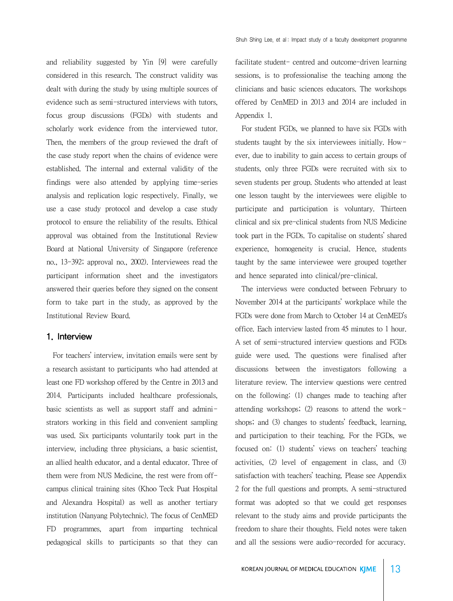and reliability suggested by Yin [9] were carefully considered in this research. The construct validity was dealt with during the study by using multiple sources of evidence such as semi-structured interviews with tutors, focus group discussions (FGDs) with students and scholarly work evidence from the interviewed tutor. Then, the members of the group reviewed the draft of the case study report when the chains of evidence were established. The internal and external validity of the findings were also attended by applying time-series analysis and replication logic respectively. Finally, we use a case study protocol and develop a case study protocol to ensure the reliability of the results. Ethical approval was obtained from the Institutional Review Board at National University of Singapore (reference no., 13-392; approval no., 2002). Interviewees read the participant information sheet and the investigators answered their queries before they signed on the consent form to take part in the study, as approved by the Institutional Review Board.

## 1. Interview

 For teachers' interview, invitation emails were sent by a research assistant to participants who had attended at least one FD workshop offered by the Centre in 2013 and 2014. Participants included healthcare professionals, basic scientists as well as support staff and administrators working in this field and convenient sampling was used. Six participants voluntarily took part in the interview, including three physicians, a basic scientist, an allied health educator, and a dental educator. Three of them were from NUS Medicine, the rest were from offcampus clinical training sites (Khoo Teck Puat Hospital and Alexandra Hospital) as well as another tertiary institution (Nanyang Polytechnic). The focus of CenMED FD programmes, apart from imparting technical pedagogical skills to participants so that they can

facilitate student- centred and outcome-driven learning sessions, is to professionalise the teaching among the clinicians and basic sciences educators. The workshops offered by CenMED in 2013 and 2014 are included in Appendix 1.

 For student FGDs, we planned to have six FGDs with students taught by the six interviewees initially. However, due to inability to gain access to certain groups of students, only three FGDs were recruited with six to seven students per group. Students who attended at least one lesson taught by the interviewees were eligible to participate and participation is voluntary. Thirteen clinical and six pre-clinical students from NUS Medicine took part in the FGDs. To capitalise on students' shared experience, homogeneity is crucial. Hence, students taught by the same interviewee were grouped together and hence separated into clinical/pre-clinical.

 The interviews were conducted between February to November 2014 at the participants' workplace while the FGDs were done from March to October 14 at CenMED's office. Each interview lasted from 45 minutes to 1 hour. A set of semi-structured interview questions and FGDs guide were used. The questions were finalised after discussions between the investigators following a literature review. The interview questions were centred on the following: (1) changes made to teaching after attending workshops; (2) reasons to attend the workshops; and (3) changes to students' feedback, learning, and participation to their teaching. For the FGDs, we focused on: (1) students' views on teachers' teaching activities, (2) level of engagement in class, and (3) satisfaction with teachers' teaching. Please see Appendix 2 for the full questions and prompts. A semi-structured format was adopted so that we could get responses relevant to the study aims and provide participants the freedom to share their thoughts. Field notes were taken and all the sessions were audio-recorded for accuracy.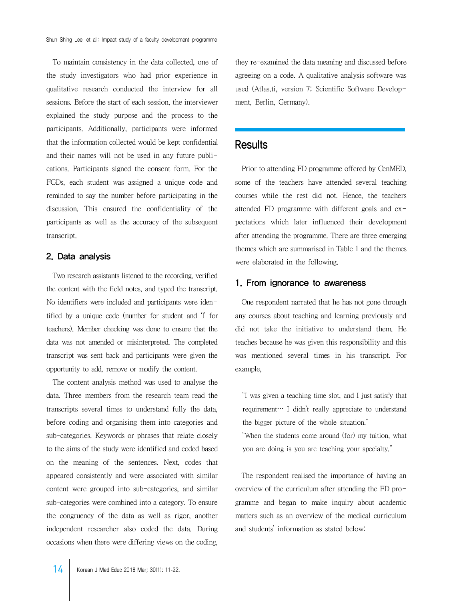To maintain consistency in the data collected, one of the study investigators who had prior experience in qualitative research conducted the interview for all sessions. Before the start of each session, the interviewer explained the study purpose and the process to the participants. Additionally, participants were informed that the information collected would be kept confidential and their names will not be used in any future publications. Participants signed the consent form. For the FGDs, each student was assigned a unique code and reminded to say the number before participating in the discussion. This ensured the confidentiality of the participants as well as the accuracy of the subsequent transcript.

## 2. Data analysis

 Two research assistants listened to the recording, verified the content with the field notes, and typed the transcript. No identifiers were included and participants were identified by a unique code (number for student and 'I' for teachers). Member checking was done to ensure that the data was not amended or misinterpreted. The completed transcript was sent back and participants were given the opportunity to add, remove or modify the content.

 The content analysis method was used to analyse the data. Three members from the research team read the transcripts several times to understand fully the data, before coding and organising them into categories and sub-categories. Keywords or phrases that relate closely to the aims of the study were identified and coded based on the meaning of the sentences. Next, codes that appeared consistently and were associated with similar content were grouped into sub-categories, and similar sub-categories were combined into a category. To ensure the congruency of the data as well as rigor, another independent researcher also coded the data. During occasions when there were differing views on the coding,

they re-examined the data meaning and discussed before agreeing on a code. A qualitative analysis software was used (Atlas.ti, version 7; Scientific Software Development, Berlin, Germany).

## Results

 Prior to attending FD programme offered by CenMED, some of the teachers have attended several teaching courses while the rest did not. Hence, the teachers attended FD programme with different goals and expectations which later influenced their development after attending the programme. There are three emerging themes which are summarised in Table 1 and the themes were elaborated in the following.

## 1. From ignorance to awareness

 One respondent narrated that he has not gone through any courses about teaching and learning previously and did not take the initiative to understand them. He teaches because he was given this responsibility and this was mentioned several times in his transcript. For example,

"I was given a teaching time slot, and I just satisfy that requirement… I didn't really appreciate to understand the bigger picture of the whole situation."

"When the students come around (for) my tuition, what you are doing is you are teaching your specialty."

 The respondent realised the importance of having an overview of the curriculum after attending the FD programme and began to make inquiry about academic matters such as an overview of the medical curriculum and students' information as stated below: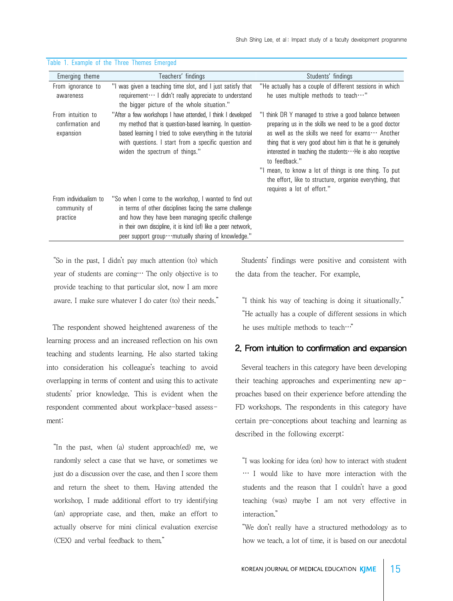| Emerging theme                                     | Teachers' findings                                                                                                                                                                                                                                                                             | Students' findings                                                                                                                                                                                                                                                                                                                                                                                                                                                         |
|----------------------------------------------------|------------------------------------------------------------------------------------------------------------------------------------------------------------------------------------------------------------------------------------------------------------------------------------------------|----------------------------------------------------------------------------------------------------------------------------------------------------------------------------------------------------------------------------------------------------------------------------------------------------------------------------------------------------------------------------------------------------------------------------------------------------------------------------|
| From ignorance to<br>awareness                     | "I was given a teaching time slot, and I just satisfy that<br>requirement ··· I didn't really appreciate to understand<br>the bigger picture of the whole situation."                                                                                                                          | "He actually has a couple of different sessions in which<br>he uses multiple methods to teach $\cdots$ "                                                                                                                                                                                                                                                                                                                                                                   |
| From intuition to<br>confirmation and<br>expansion | "After a few workshops I have attended, I think I developed<br>my method that is question-based learning. In question-<br>based learning I tried to solve everything in the tutorial<br>with questions. I start from a specific question and<br>widen the spectrum of things."                 | "I think DR Y managed to strive a good balance between<br>preparing us in the skills we need to be a good doctor<br>as well as the skills we need for exams $\cdots$ Another<br>thing that is very good about him is that he is genuinely<br>interested in teaching the students  He is also receptive<br>to feedback."<br>"I mean, to know a lot of things is one thing. To put<br>the effort, like to structure, organise everything, that<br>requires a lot of effort." |
| From individualism to<br>community of<br>practice  | "So when I come to the workshop, I wanted to find out<br>in terms of other disciplines facing the same challenge<br>and how they have been managing specific challenge<br>in their own discipline, it is kind (of) like a peer network,<br>peer support group  mutually sharing of knowledge." |                                                                                                                                                                                                                                                                                                                                                                                                                                                                            |

Table 1. Example of the Three Themes Emerged

"So in the past, I didn't pay much attention (to) which year of students are coming… The only objective is to provide teaching to that particular slot, now I am more aware. I make sure whatever I do cater (to) their needs."

 The respondent showed heightened awareness of the learning process and an increased reflection on his own teaching and students learning. He also started taking into consideration his colleague's teaching to avoid overlapping in terms of content and using this to activate students' prior knowledge. This is evident when the respondent commented about workplace-based assessment:

"In the past, when (a) student approach(ed) me, we randomly select a case that we have, or sometimes we just do a discussion over the case, and then I score them and return the sheet to them. Having attended the workshop, I made additional effort to try identifying (an) appropriate case, and then, make an effort to actually observe for mini clinical evaluation exercise (CEX) and verbal feedback to them."

 Students' findings were positive and consistent with the data from the teacher. For example,

"I think his way of teaching is doing it situationally." "He actually has a couple of different sessions in which he uses multiple methods to teach…"

## 2. From intuition to confirmation and expansion

 Several teachers in this category have been developing their teaching approaches and experimenting new approaches based on their experience before attending the FD workshops. The respondents in this category have certain pre-conceptions about teaching and learning as described in the following excerpt:

"I was looking for idea (on) how to interact with student … I would like to have more interaction with the students and the reason that I couldn't have a good teaching (was) maybe I am not very effective in interaction."

"We don't really have a structured methodology as to how we teach, a lot of time, it is based on our anecdotal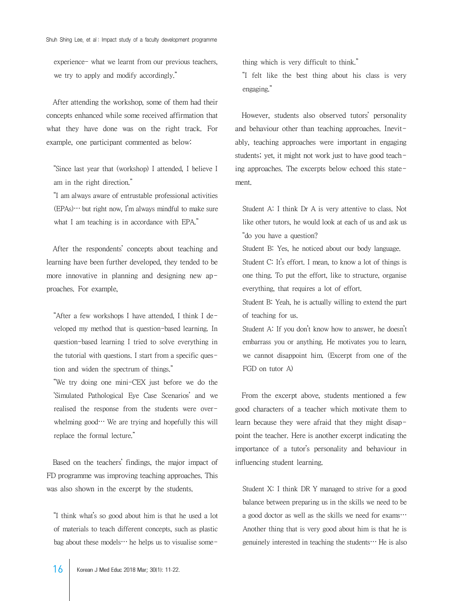experience- what we learnt from our previous teachers, we try to apply and modify accordingly."

 After attending the workshop, some of them had their concepts enhanced while some received affirmation that what they have done was on the right track. For example, one participant commented as below:

"Since last year that (workshop) I attended, I believe I am in the right direction."

"I am always aware of entrustable professional activities  $(EPAs) \cdots$  but right now, I'm always mindful to make sure what I am teaching is in accordance with EPA."

 After the respondents' concepts about teaching and learning have been further developed, they tended to be more innovative in planning and designing new approaches. For example,

"After a few workshops I have attended, I think I developed my method that is question-based learning. In question-based learning I tried to solve everything in the tutorial with questions. I start from a specific question and widen the spectrum of things."

"We try doing one mini-CEX just before we do the 'Simulated Pathological Eye Case Scenarios' and we realised the response from the students were overwhelming  $good \cdots$  We are trying and hopefully this will replace the formal lecture."

 Based on the teachers' findings, the major impact of FD programme was improving teaching approaches. This was also shown in the excerpt by the students.

"I think what's so good about him is that he used a lot of materials to teach different concepts, such as plastic bag about these models… he helps us to visualise something which is very difficult to think."

"I felt like the best thing about his class is very engaging."

 However, students also observed tutors' personality and behaviour other than teaching approaches. Inevitably, teaching approaches were important in engaging students; yet, it might not work just to have good teaching approaches. The excerpts below echoed this statement.

Student A: I think Dr A is very attentive to class. Not like other tutors, he would look at each of us and ask us "do you have a question?

Student B: Yes, he noticed about our body language. Student C: It's effort. I mean, to know a lot of things is one thing. To put the effort, like to structure, organise everything, that requires a lot of effort.

Student B: Yeah, he is actually willing to extend the part of teaching for us.

Student A: If you don't know how to answer, he doesn't embarrass you or anything. He motivates you to learn, we cannot disappoint him. (Excerpt from one of the FGD on tutor A)

 From the excerpt above, students mentioned a few good characters of a teacher which motivate them to learn because they were afraid that they might disappoint the teacher. Here is another excerpt indicating the importance of a tutor's personality and behaviour in influencing student learning.

Student X: I think DR Y managed to strive for a good balance between preparing us in the skills we need to be a good doctor as well as the skills we need for exams… Another thing that is very good about him is that he is genuinely interested in teaching the students $\cdots$  He is also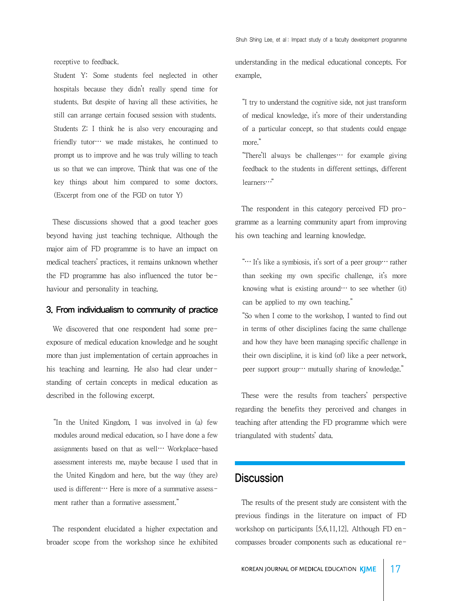Shuh Shing Lee, et al : Impact study of a faculty development programme

receptive to feedback.

Student Y: Some students feel neglected in other hospitals because they didn't really spend time for students. But despite of having all these activities, he still can arrange certain focused session with students. Students Z: I think he is also very encouraging and friendly tutor… we made mistakes, he continued to prompt us to improve and he was truly willing to teach us so that we can improve. Think that was one of the key things about him compared to some doctors. (Excerpt from one of the FGD on tutor Y)

 These discussions showed that a good teacher goes beyond having just teaching technique. Although the major aim of FD programme is to have an impact on medical teachers' practices, it remains unknown whether the FD programme has also influenced the tutor behaviour and personality in teaching.

### 3. From individualism to community of practice

 We discovered that one respondent had some preexposure of medical education knowledge and he sought more than just implementation of certain approaches in his teaching and learning. He also had clear understanding of certain concepts in medical education as described in the following excerpt.

"In the United Kingdom, I was involved in (a) few modules around medical education, so I have done a few assignments based on that as well… Workplace-based assessment interests me, maybe because I used that in the United Kingdom and here, but the way (they are) used is different… Here is more of a summative assessment rather than a formative assessment."

 The respondent elucidated a higher expectation and broader scope from the workshop since he exhibited understanding in the medical educational concepts. For example,

"I try to understand the cognitive side, not just transform of medical knowledge, it's more of their understanding of a particular concept, so that students could engage more."

"There'll always be challenges… for example giving feedback to the students in different settings, different learners…"

 The respondent in this category perceived FD programme as a learning community apart from improving his own teaching and learning knowledge.

"… It's like a symbiosis, it's sort of a peer group… rather than seeking my own specific challenge, it's more knowing what is existing around… to see whether  $(it)$ can be applied to my own teaching."

"So when I come to the workshop, I wanted to find out in terms of other disciplines facing the same challenge and how they have been managing specific challenge in their own discipline, it is kind (of) like a peer network, peer support group… mutually sharing of knowledge."

 These were the results from teachers' perspective regarding the benefits they perceived and changes in teaching after attending the FD programme which were triangulated with students' data.

## **Discussion**

 The results of the present study are consistent with the previous findings in the literature on impact of FD workshop on participants [5,6,11,12]. Although FD encompasses broader components such as educational re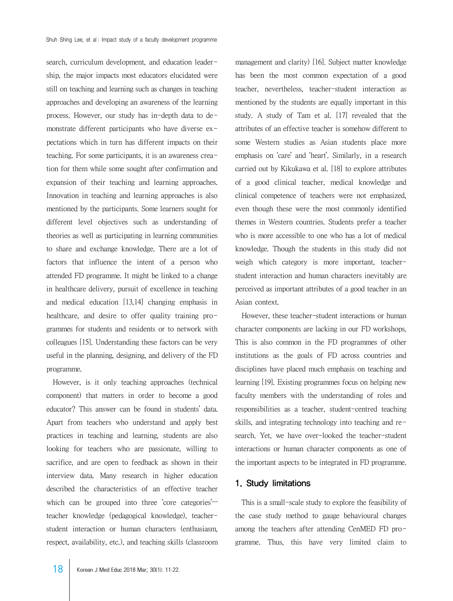search, curriculum development, and education leadership, the major impacts most educators elucidated were still on teaching and learning such as changes in teaching approaches and developing an awareness of the learning process. However, our study has in-depth data to demonstrate different participants who have diverse expectations which in turn has different impacts on their teaching. For some participants, it is an awareness creation for them while some sought after confirmation and expansion of their teaching and learning approaches. Innovation in teaching and learning approaches is also mentioned by the participants. Some learners sought for different level objectives such as understanding of theories as well as participating in learning communities to share and exchange knowledge. There are a lot of factors that influence the intent of a person who attended FD programme. It might be linked to a change in healthcare delivery, pursuit of excellence in teaching and medical education [13,14] changing emphasis in healthcare, and desire to offer quality training programmes for students and residents or to network with colleagues [15]. Understanding these factors can be very useful in the planning, designing, and delivery of the FD programme.

 However, is it only teaching approaches (technical component) that matters in order to become a good educator? This answer can be found in students' data. Apart from teachers who understand and apply best practices in teaching and learning, students are also looking for teachers who are passionate, willing to sacrifice, and are open to feedback as shown in their interview data. Many research in higher education described the characteristics of an effective teacher which can be grouped into three core categories<sup>---</sup> teacher knowledge (pedagogical knowledge), teacherstudent interaction or human characters (enthusiasm, respect, availability, etc.), and teaching skills (classroom management and clarity) [16]. Subject matter knowledge has been the most common expectation of a good teacher, nevertheless, teacher-student interaction as mentioned by the students are equally important in this study. A study of Tam et al. [17] revealed that the attributes of an effective teacher is somehow different to some Western studies as Asian students place more emphasis on 'care' and 'heart'. Similarly, in a research carried out by Kikukawa et al. [18] to explore attributes of a good clinical teacher, medical knowledge and clinical competence of teachers were not emphasized, even though these were the most commonly identified themes in Western countries. Students prefer a teacher who is more accessible to one who has a lot of medical knowledge. Though the students in this study did not weigh which category is more important, teacherstudent interaction and human characters inevitably are perceived as important attributes of a good teacher in an Asian context.

 However, these teacher-student interactions or human character components are lacking in our FD workshops. This is also common in the FD programmes of other institutions as the goals of FD across countries and disciplines have placed much emphasis on teaching and learning [19]. Existing programmes focus on helping new faculty members with the understanding of roles and responsibilities as a teacher, student-centred teaching skills, and integrating technology into teaching and research. Yet, we have over-looked the teacher-student interactions or human character components as one of the important aspects to be integrated in FD programme.

## 1. Study limitations

 This is a small-scale study to explore the feasibility of the case study method to gauge behavioural changes among the teachers after attending CenMED FD programme. Thus, this have very limited claim to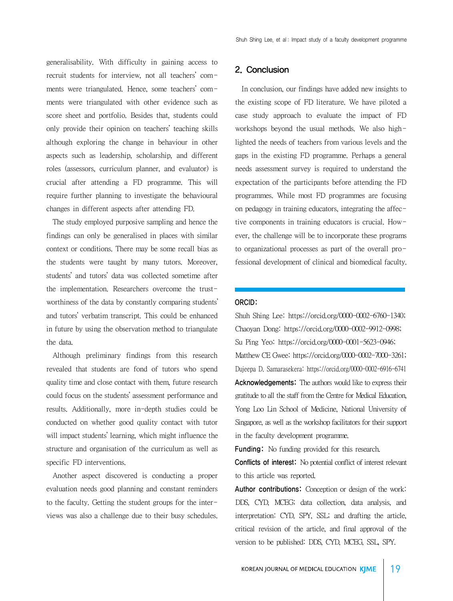generalisability. With difficulty in gaining access to recruit students for interview, not all teachers' comments were triangulated. Hence, some teachers' comments were triangulated with other evidence such as score sheet and portfolio. Besides that, students could only provide their opinion on teachers' teaching skills although exploring the change in behaviour in other aspects such as leadership, scholarship, and different roles (assessors, curriculum planner, and evaluator) is crucial after attending a FD programme. This will require further planning to investigate the behavioural changes in different aspects after attending FD.

 The study employed purposive sampling and hence the findings can only be generalised in places with similar context or conditions. There may be some recall bias as the students were taught by many tutors. Moreover, students' and tutors' data was collected sometime after the implementation. Researchers overcome the trustworthiness of the data by constantly comparing students' and tutors' verbatim transcript. This could be enhanced in future by using the observation method to triangulate the data.

 Although preliminary findings from this research revealed that students are fond of tutors who spend quality time and close contact with them, future research could focus on the students' assessment performance and results. Additionally, more in-depth studies could be conducted on whether good quality contact with tutor will impact students' learning, which might influence the structure and organisation of the curriculum as well as specific FD interventions.

 Another aspect discovered is conducting a proper evaluation needs good planning and constant reminders to the faculty. Getting the student groups for the interviews was also a challenge due to their busy schedules.

## 2. Conclusion

 In conclusion, our findings have added new insights to the existing scope of FD literature. We have piloted a case study approach to evaluate the impact of FD workshops beyond the usual methods. We also highlighted the needs of teachers from various levels and the gaps in the existing FD programme. Perhaps a general needs assessment survey is required to understand the expectation of the participants before attending the FD programmes. While most FD programmes are focusing on pedagogy in training educators, integrating the affective components in training educators is crucial. However, the challenge will be to incorporate these programs to organizational processes as part of the overall professional development of clinical and biomedical faculty.

### ORCID:

Shuh Shing Lee: https://orcid.org/0000-0002-6760-1340; Chaoyan Dong: https://orcid.org/0000-0002-9912-0998; Su Ping Yeo: https://orcid.org/0000-0001-5623-0946; Matthew CE Gwee: https://orcid.org/0000-0002-7000-3261; Dujeepa D. Samarasekera: https://orcid.org/0000-0002-6916-6741 Acknowledgements: The authors would like to express their gratitude to all the staff from the Centre for Medical Education, Yong Loo Lin School of Medicine, National University of Singapore, as well as the workshop facilitators for their support in the faculty development programme.

Funding: No funding provided for this research.

Conflicts of interest: No potential conflict of interest relevant to this article was reported.

Author contributions: Conception or design of the work: DDS, CYD, MCEG; data collection, data analysis, and interpretation: CYD, SPY, SSL; and drafting the article, critical revision of the article, and final approval of the version to be published: DDS, CYD, MCEG, SSL, SPY.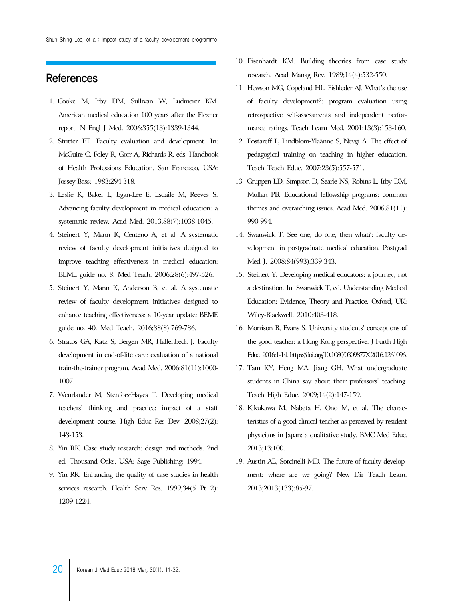## References

- 1. Cooke M, Irby DM, Sullivan W, Ludmerer KM. American medical education 100 years after the Flexner report. N Engl J Med. 2006;355(13):1339-1344.
- 2. Stritter FT. Faculty evaluation and development. In: McGuire C, Foley R, Gorr A, Richards R, eds. Handbook of Health Professions Education. San Francisco, USA: Jossey-Bass; 1983:294-318.
- 3. Leslie K, Baker L, Egan-Lee E, Esdaile M, Reeves S. Advancing faculty development in medical education: a systematic review. Acad Med. 2013;88(7):1038-1045.
- 4. Steinert Y, Mann K, Centeno A, et al. A systematic review of faculty development initiatives designed to improve teaching effectiveness in medical education: BEME guide no. 8. Med Teach. 2006;28(6):497-526.
- 5. Steinert Y, Mann K, Anderson B, et al. A systematic review of faculty development initiatives designed to enhance teaching effectiveness: a 10-year update: BEME guide no. 40. Med Teach. 2016;38(8):769-786.
- 6. Stratos GA, Katz S, Bergen MR, Hallenbeck J. Faculty development in end-of-life care: evaluation of a national train-the-trainer program. Acad Med. 2006;81(11):1000- 1007.
- 7. Weurlander M, Stenfors‐Hayes T. Developing medical teachers' thinking and practice: impact of a staff development course. High Educ Res Dev. 2008;27(2): 143-153.
- 8. Yin RK. Case study research: design and methods. 2nd ed. Thousand Oaks, USA: Sage Publishing; 1994.
- 9. Yin RK. Enhancing the quality of case studies in health services research. Health Serv Res. 1999;34(5 Pt 2): 1209-1224.
- 10. Eisenhardt KM. Building theories from case study research. Acad Manag Rev. 1989;14(4):532-550.
- 11. Hewson MG, Copeland HL, Fishleder AJ. What's the use of faculty development?: program evaluation using retrospective self-assessments and independent performance ratings. Teach Learn Med. 2001;13(3):153-160.
- 12. Postareff L, Lindblom-Ylaänne S, Nevgi A. The effect of pedagogical training on teaching in higher education. Teach Teach Educ. 2007;23(5):557-571.
- 13. Gruppen LD, Simpson D, Searle NS, Robins L, Irby DM, Mullan PB. Educational fellowship programs: common themes and overarching issues. Acad Med. 2006;81(11): 990-994.
- 14. Swanwick T. See one, do one, then what?: faculty development in postgraduate medical education. Postgrad Med J. 2008;84(993):339-343.
- 15. Steinert Y. Developing medical educators: a journey, not a destination. In: Swanwick T, ed. Understanding Medical Education: Evidence, Theory and Practice. Oxford, UK: Wiley-Blackwell; 2010:403-418.
- 16. Morrison B, Evans S. University students' conceptions of the good teacher: a Hong Kong perspective. J Furth High Educ. 2016:1-14. https://doi.org/10.1080/0309877X.2016.1261096.
- 17. Tam KY, Heng MA, Jiang GH. What undergraduate students in China say about their professors' teaching. Teach High Educ. 2009;14(2):147-159.
- 18. Kikukawa M, Nabeta H, Ono M, et al. The characteristics of a good clinical teacher as perceived by resident physicians in Japan: a qualitative study. BMC Med Educ. 2013;13:100.
- 19. Austin AE, Sorcinelli MD. The future of faculty development: where are we going? New Dir Teach Learn. 2013;2013(133):85-97.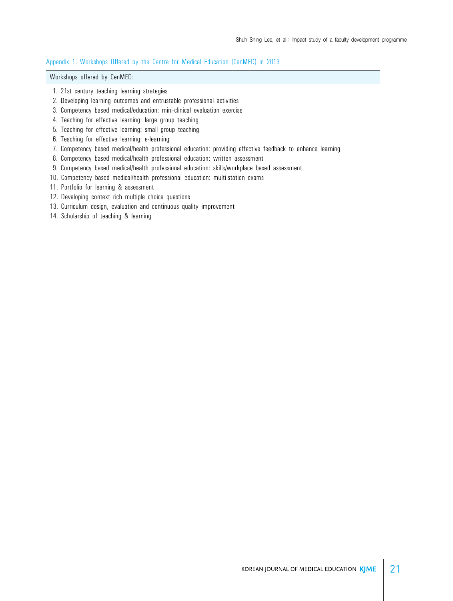### Appendix 1. Workshops Offered by the Centre for Medical Education (CenMED) in 2013

## Workshops offered by CenMED:

- 1. 21st century teaching learning strategies
- 2. Developing learning outcomes and entrustable professional activities
- 3. Competency based medical/education: mini-clinical evaluation exercise
- 4. Teaching for effective learning: large group teaching
- 5. Teaching for effective learning: small group teaching
- 6. Teaching for effective learning: e-learning
- 7. Competency based medical/health professional education: providing effective feedback to enhance learning
- 8. Competency based medical/health professional education: written assessment
- 9. Competency based medical/health professional education: skills/workplace based assessment
- 10. Competency based medical/health professional education: multi-station exams
- 11. Portfolio for learning & assessment
- 12. Developing context rich multiple choice questions
- 13. Curriculum design, evaluation and continuous quality improvement
- 14. Scholarship of teaching & learning